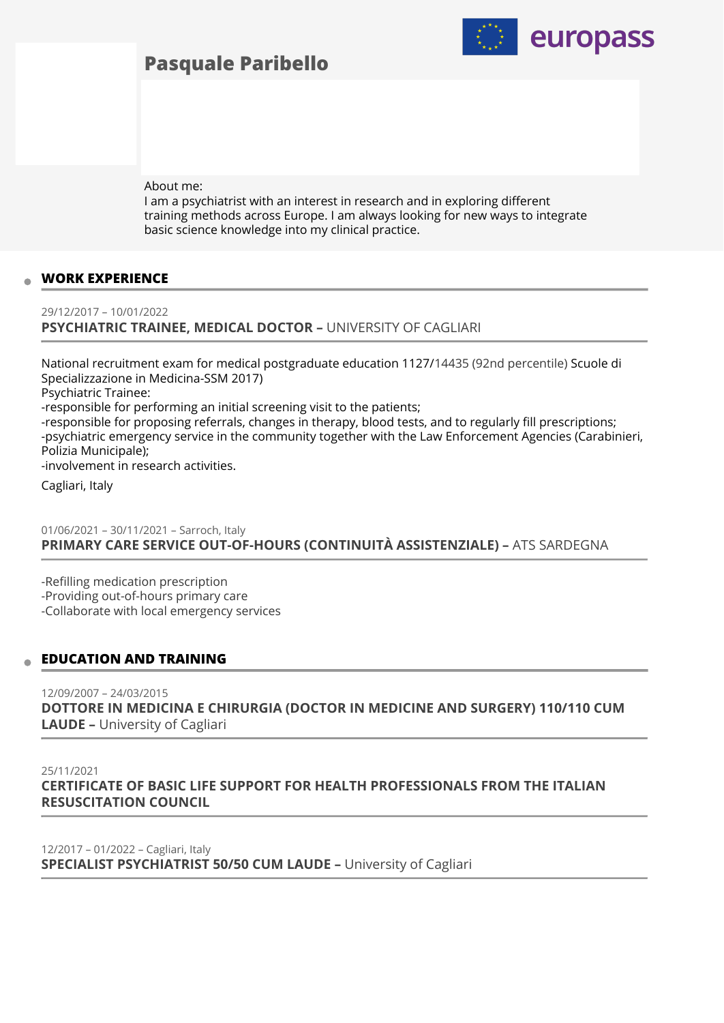# **Pasquale Paribello**



About me:

I am a psychiatrist with an interest in research and in exploring different training methods across Europe. I am always looking for new ways to integrate basic science knowledge into my clinical practice.

## **WORK EXPERIENCE**

29/12/2017 – 10/01/2022 **PSYCHIATRIC TRAINEE, MEDICAL DOCTOR –** UNIVERSITY OF CAGLIARI

National recruitment exam for medical postgraduate education 1127/14435 (92nd percentile) Scuole di Specializzazione in Medicina-SSM 2017) Psychiatric Trainee: -responsible for performing an initial screening visit to the patients; -responsible for proposing referrals, changes in therapy, blood tests, and to regularly fill prescriptions;

-psychiatric emergency service in the community together with the Law Enforcement Agencies (Carabinieri, Polizia Municipale);

-involvement in research activities.

Cagliari, Italy

01/06/2021 – 30/11/2021 – Sarroch, Italy **PRIMARY CARE SERVICE OUT-OF-HOURS (CONTINUITÀ ASSISTENZIALE) –** ATS SARDEGNA

-Refilling medication prescription -Providing out-of-hours primary care -Collaborate with local emergency services

#### **EDUCATION AND TRAINING**

12/09/2007 – 24/03/2015 **DOTTORE IN MEDICINA E CHIRURGIA (DOCTOR IN MEDICINE AND SURGERY) 110/110 CUM LAUDE –** University of Cagliari

#### 25/11/2021

**CERTIFICATE OF BASIC LIFE SUPPORT FOR HEALTH PROFESSIONALS FROM THE ITALIAN RESUSCITATION COUNCIL** 

12/2017 – 01/2022 – Cagliari, Italy **SPECIALIST PSYCHIATRIST 50/50 CUM LAUDE –** University of Cagliari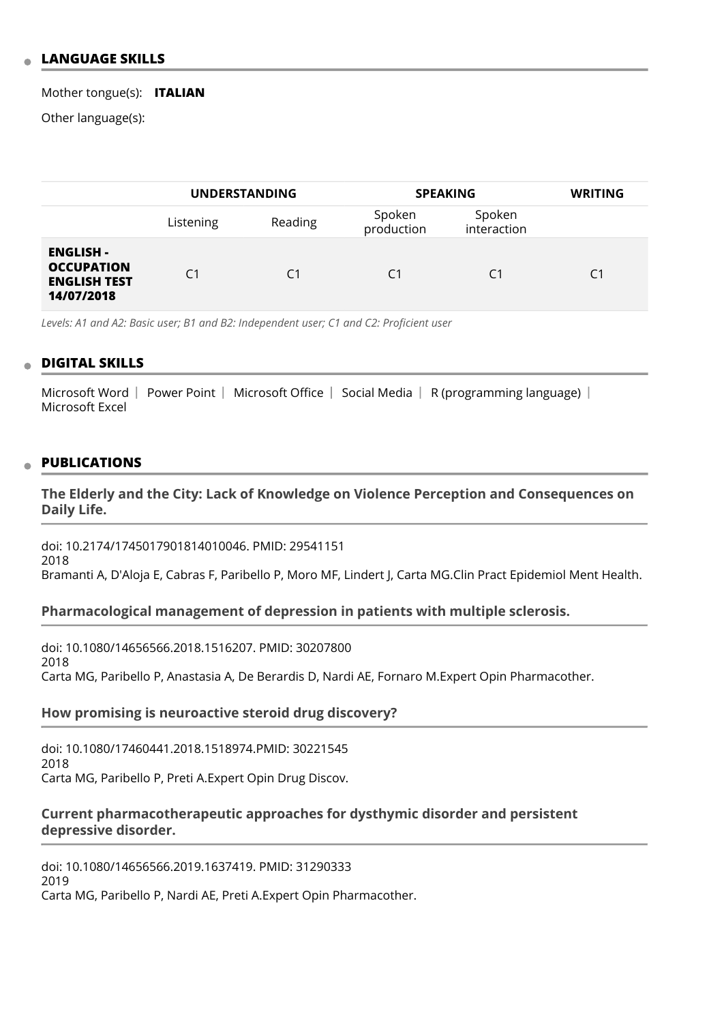## **LANGUAGE SKILLS**

Mother tongue(s): **ITALIAN**

Other language(s):

|                                                                            | <b>UNDERSTANDING</b> |         | <b>SPEAKING</b>      |                       | <b>WRITING</b> |
|----------------------------------------------------------------------------|----------------------|---------|----------------------|-----------------------|----------------|
|                                                                            | Listening            | Reading | Spoken<br>production | Spoken<br>interaction |                |
| <b>ENGLISH -</b><br><b>OCCUPATION</b><br><b>ENGLISH TEST</b><br>14/07/2018 | C <sub>1</sub>       | C1      | C <sub>1</sub>       | C1                    | C1             |

*Levels: A1 and A2: Basic user; B1 and B2: Independent user; C1 and C2: Proficient user*

## **DIGITAL SKILLS**

Microsoft Word | Power Point | Microsoft Office | Social Media | R (programming language) | Microsoft Excel

#### **PUBLICATIONS**

**The Elderly and the City: Lack of Knowledge on Violence Perception and Consequences on Daily Life.** 

doi: 10.2174/1745017901814010046. PMID: 29541151 2018 Bramanti A, D'Aloja E, Cabras F, Paribello P, Moro MF, Lindert J, Carta MG.Clin Pract Epidemiol Ment Health.

#### **Pharmacological management of depression in patients with multiple sclerosis.**

doi: 10.1080/14656566.2018.1516207. PMID: 30207800 2018 Carta MG, Paribello P, Anastasia A, De Berardis D, Nardi AE, Fornaro M.Expert Opin Pharmacother.

#### **How promising is neuroactive steroid drug discovery?**

doi: 10.1080/17460441.2018.1518974.PMID: 30221545 2018 Carta MG, Paribello P, Preti A.Expert Opin Drug Discov.

## **Current pharmacotherapeutic approaches for dysthymic disorder and persistent depressive disorder.**

doi: 10.1080/14656566.2019.1637419. PMID: 31290333 2019 Carta MG, Paribello P, Nardi AE, Preti A.Expert Opin Pharmacother.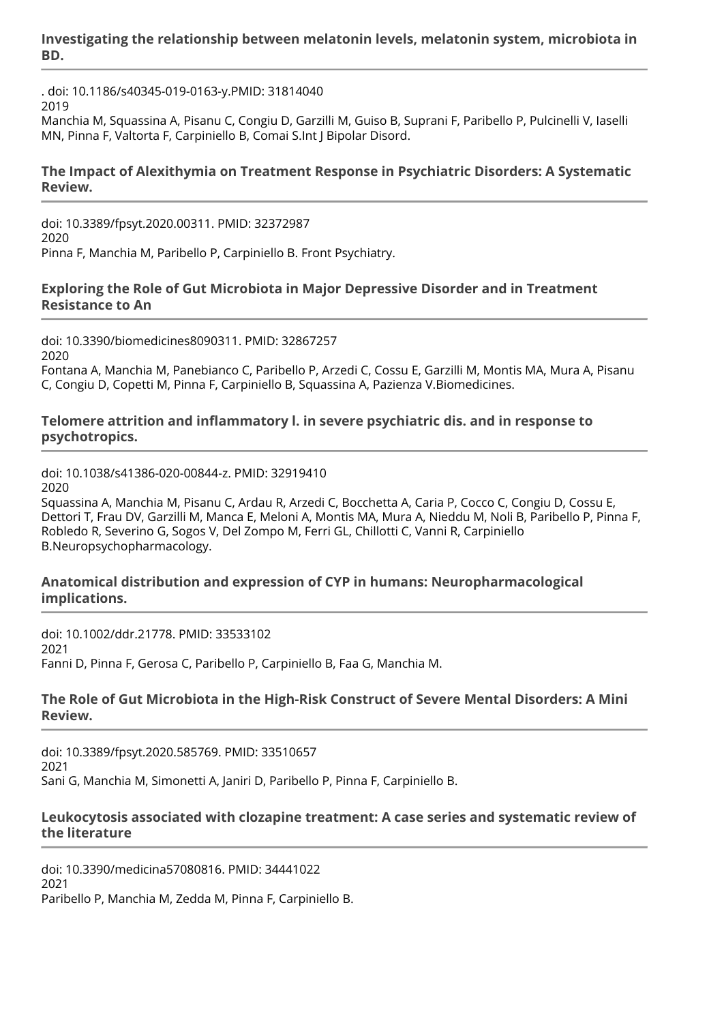**Investigating the relationship between melatonin levels, melatonin system, microbiota in BD.** 

. doi: 10.1186/s40345-019-0163-y.PMID: 31814040 2019

Manchia M, Squassina A, Pisanu C, Congiu D, Garzilli M, Guiso B, Suprani F, Paribello P, Pulcinelli V, Iaselli MN, Pinna F, Valtorta F, Carpiniello B, Comai S.Int J Bipolar Disord.

# **The Impact of Alexithymia on Treatment Response in Psychiatric Disorders: A Systematic Review.**

doi: 10.3389/fpsyt.2020.00311. PMID: 32372987 2020 Pinna F, Manchia M, Paribello P, Carpiniello B. Front Psychiatry.

# **Exploring the Role of Gut Microbiota in Major Depressive Disorder and in Treatment Resistance to An**

doi: 10.3390/biomedicines8090311. PMID: 32867257 2020 Fontana A, Manchia M, Panebianco C, Paribello P, Arzedi C, Cossu E, Garzilli M, Montis MA, Mura A, Pisanu C, Congiu D, Copetti M, Pinna F, Carpiniello B, Squassina A, Pazienza V.Biomedicines.

## **Telomere attrition and inflammatory l. in severe psychiatric dis. and in response to psychotropics.**

doi: 10.1038/s41386-020-00844-z. PMID: 32919410 2020

Squassina A, Manchia M, Pisanu C, Ardau R, Arzedi C, Bocchetta A, Caria P, Cocco C, Congiu D, Cossu E, Dettori T, Frau DV, Garzilli M, Manca E, Meloni A, Montis MA, Mura A, Nieddu M, Noli B, Paribello P, Pinna F, Robledo R, Severino G, Sogos V, Del Zompo M, Ferri GL, Chillotti C, Vanni R, Carpiniello B.Neuropsychopharmacology.

## **Anatomical distribution and expression of CYP in humans: Neuropharmacological implications.**

doi: 10.1002/ddr.21778. PMID: 33533102 2021 Fanni D, Pinna F, Gerosa C, Paribello P, Carpiniello B, Faa G, Manchia M.

# **The Role of Gut Microbiota in the High-Risk Construct of Severe Mental Disorders: A Mini Review.**

doi: 10.3389/fpsyt.2020.585769. PMID: 33510657 2021 Sani G, Manchia M, Simonetti A, Janiri D, Paribello P, Pinna F, Carpiniello B.

## **Leukocytosis associated with clozapine treatment: A case series and systematic review of the literature**

doi: 10.3390/medicina57080816. PMID: 34441022 2021 Paribello P, Manchia M, Zedda M, Pinna F, Carpiniello B.